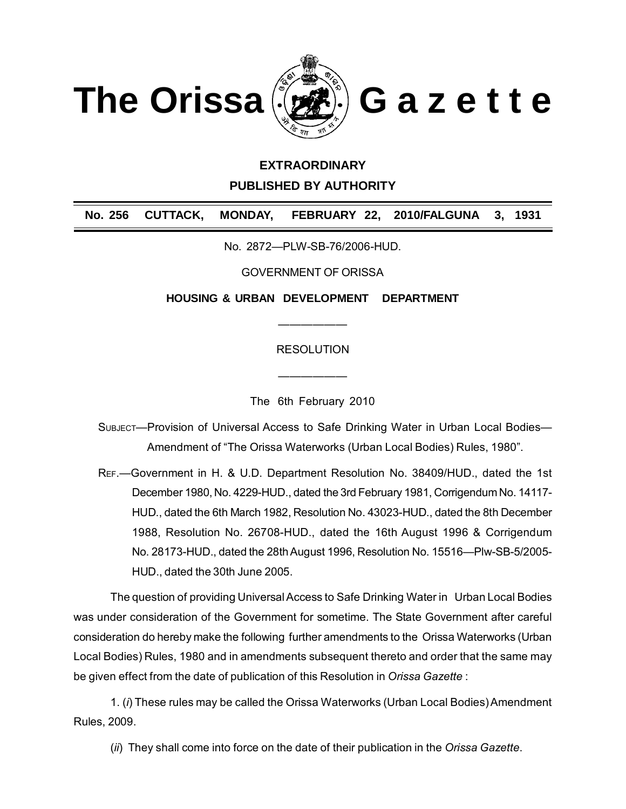

## **EXTRAORDINARY**

**PUBLISHED BY AUTHORITY**

**No. 256 CUTTACK, MONDAY, FEBRUARY 22, 2010/FALGUNA 3, 1931**

No. 2872—PLW-SB-76/2006-HUD.

GOVERNMENT OF ORISSA

**HOUSING & URBAN DEVELOPMENT DEPARTMENT**

**RESOLUTION** 

——————

The 6th February 2010

——————

SUBJECT—Provision of Universal Access to Safe Drinking Water in Urban Local Bodies— Amendment of "The Orissa Waterworks (Urban Local Bodies) Rules, 1980".

REF.—Government in H. & U.D. Department Resolution No. 38409/HUD., dated the 1st December 1980, No. 4229-HUD., dated the 3rd February 1981, Corrigendum No. 14117- HUD., dated the 6th March 1982, Resolution No. 43023-HUD., dated the 8th December 1988, Resolution No. 26708-HUD., dated the 16th August 1996 & Corrigendum No. 28173-HUD., dated the 28th August 1996, Resolution No. 15516—Plw-SB-5/2005- HUD., dated the 30th June 2005.

The question of providing Universal Access to Safe Drinking Water in Urban Local Bodies was under consideration of the Government for sometime. The State Government after careful consideration do hereby make the following further amendments to the Orissa Waterworks (Urban Local Bodies) Rules, 1980 and in amendments subsequent thereto and order that the same may be given effect from the date of publication of this Resolution in *Orissa Gazette* :

1. (*i*) These rules may be called the Orissa Waterworks (Urban Local Bodies) Amendment Rules, 2009.

(*ii*) They shall come into force on the date of their publication in the *Orissa Gazette*.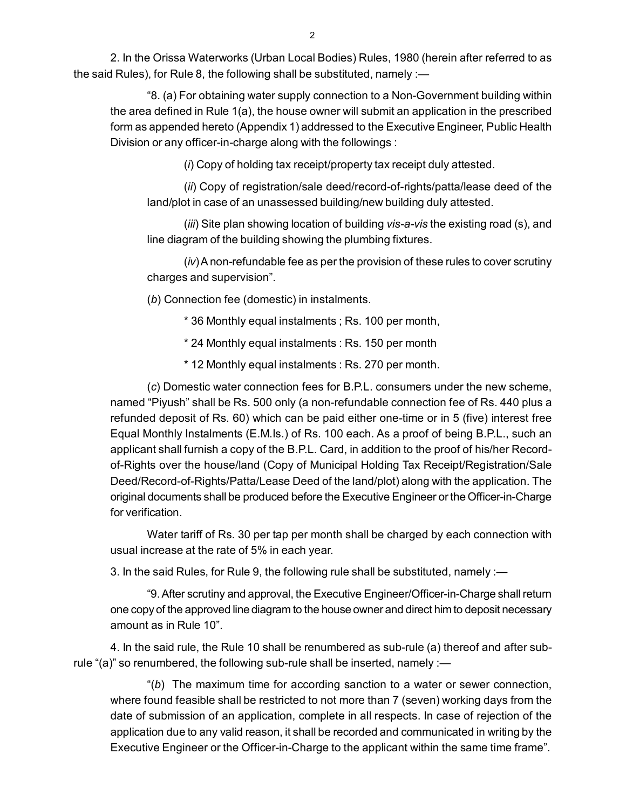2. In the Orissa Waterworks (Urban Local Bodies) Rules, 1980 (herein after referred to a[s](http://www.docu-track.com/buy/) [t](http://www.docu-track.com/buy/)he said Rules), for Rule 8, the following shall be substituted, namely :—

"8. (a) For obtaining water supply connection to a Non-Government building within the area defined in Rule 1(a), the house owner will submit an application in the prescribed form as appended hereto (Appendix 1) addressed to the Executive Engineer, Public Health Division or any officer-in-charge along with the followings :

(*i*) Copy of holding tax receipt/property tax receipt duly attested.

(*ii*) Copy of registration/sale deed/record-of-rights/patta/lease deed of the land/plot in case of an unassessed building/new building duly attested.

(*iii*) Site plan showing location of building *vis-a-vis* the existing road (s), and line diagram of the building showing the plumbing fixtures.

(*iv*) A non-refundable fee as per the provision of these rules to cover scrutiny charges and supervision".

(*b*) Connection fee (domestic) in instalments.

\* 36 Monthly equal instalments ; Rs. 100 per month,

\* 24 Monthly equal instalments : Rs. 150 per month

\* 12 Monthly equal instalments : Rs. 270 per month.

(*c*) Domestic water connection fees for B.P.L. consumers under the new scheme, named "Piyush" shall be Rs. 500 only (a non-refundable connection fee of Rs. 440 plus a refunded deposit of Rs. 60) which can be paid either one-time or in 5 (five) interest free Equal Monthly Instalments (E.M.Is.) of Rs. 100 each. As a proof of being B.P.L., such an applicant shall furnish a copy of the B.P.L. Card, in addition to the proof of his/her Recordof-Rights over the house/land (Copy of Municipal Holding Tax Receipt/Registration/Sale Deed/Record-of-Rights/Patta/Lease Deed of the land/plot) along with the application. The original documents shall be produced before the Executive Engineer or the Officer-in-Charge for verification.

Water tariff of Rs. 30 per tap per month shall be charged by each connection with usual increase at the rate of 5% in each year.

3. In the said Rules, for Rule 9, the following rule shall be substituted, namely :—

"9. After scrutiny and approval, the Executive Engineer/Officer-in-Charge shall return one copy of the approved line diagram to the house owner and direct him to deposit necessary amount as in Rule 10".

4. In the said rule, the Rule 10 shall be renumbered as sub-rule (a) thereof and after subrule "(a)" so renumbered, the following sub-rule shall be inserted, namely :-

"(*b*) The maximum time for according sanction to a water or sewer connection, where found feasible shall be restricted to not more than 7 (seven) working days from the date of submission of an application, complete in all respects. In case of rejection of the application due to any valid reason, it shall be recorded and communicated in writing by the Executive Engineer or the Officer-in-Charge to the applicant within the same time frame".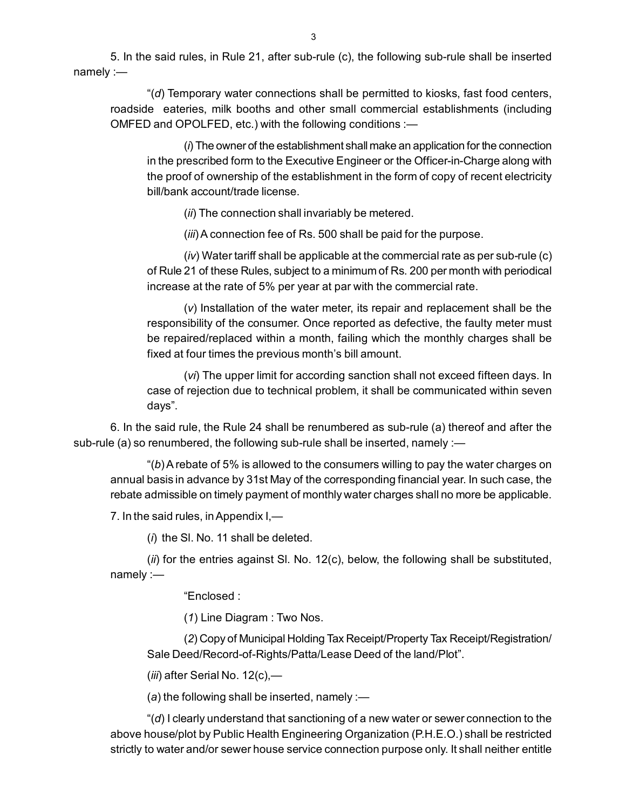5. In the said rules, in Rule 21, after sub-rule (c), the following sub-rule shall be inserte[d](http://www.docu-track.com/buy/) [n](http://www.docu-track.com/buy/)amely :—

"(*d*) Temporary water connections shall be permitted to kiosks, fast food centers, roadside eateries, milk booths and other small commercial establishments (including OMFED and OPOLFED, etc.) with the following conditions :—

(*i*) The owner of the establishment shall make an application for the connection in the prescribed form to the Executive Engineer or the Officer-in-Charge along with the proof of ownership of the establishment in the form of copy of recent electricity bill/bank account/trade license.

(*ii*) The connection shall invariably be metered.

(*iii*) A connection fee of Rs. 500 shall be paid for the purpose.

(*iv*) Water tariff shall be applicable at the commercial rate as per sub-rule (c) of Rule 21 of these Rules, subject to a minimum of Rs. 200 per month with periodical increase at the rate of 5% per year at par with the commercial rate.

(*v*) Installation of the water meter, its repair and replacement shall be the responsibility of the consumer. Once reported as defective, the faulty meter must be repaired/replaced within a month, failing which the monthly charges shall be fixed at four times the previous month's bill amount.

(*vi*) The upper limit for according sanction shall not exceed fifteen days. In case of rejection due to technical problem, it shall be communicated within seven days".

6. In the said rule, the Rule 24 shall be renumbered as sub-rule (a) thereof and after the sub-rule (a) so renumbered, the following sub-rule shall be inserted, namely :-

"(*b*) A rebate of 5% is allowed to the consumers willing to pay the water charges on annual basis in advance by 31st May of the corresponding financial year. In such case, the rebate admissible on timely payment of monthly water charges shall no more be applicable.

7. In the said rules, in Appendix I,—

(*i*) the Sl. No. 11 shall be deleted.

(*ii*) for the entries against Sl. No. 12(c), below, the following shall be substituted, namely :—

"Enclosed :

(*1*) Line Diagram : Two Nos.

(*2*) Copy of Municipal Holding Tax Receipt/Property Tax Receipt/Registration/ Sale Deed/Record-of-Rights/Patta/Lease Deed of the land/Plot".

(*iii*) after Serial No. 12(c),—

(*a*) the following shall be inserted, namely :—

"(*d*) I clearly understand that sanctioning of a new water or sewer connection to the above house/plot by Public Health Engineering Organization (P.H.E.O.) shall be restricted strictly to water and/or sewer house service connection purpose only. It shall neither entitle